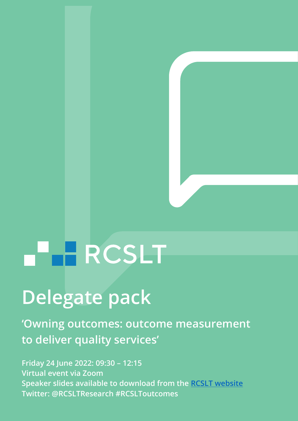# **HARCSLT**

# **Delegate pack**

**'Owning outcomes: outcome measurement to deliver quality services'**

**Friday 24 June 2022: 09:30 – 12:15 Virtual event via Zoom Speaker slides available to download from the [RCSLT website](https://www.rcslt.org/events/owning-outcomes-outcome-measurement-to-deliver-quality-services/) Twitter: [@RCSLTResearch](https://twitter.com/RCSLTResearch) #RCSLToutcomes**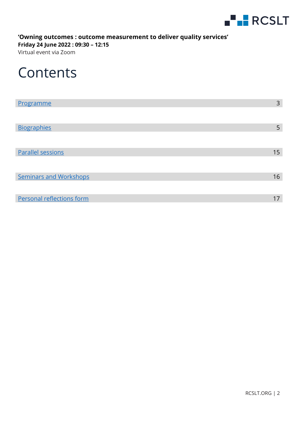

**'Owning outcomes : outcome measurement to deliver quality services' Friday 24 June 2022 : 09:30 – 12:15** Virtual event via Zoom

### **Contents**

| Programme                     | 3  |
|-------------------------------|----|
|                               |    |
| <b>Biographies</b>            | 5  |
|                               |    |
| <b>Parallel sessions</b>      | 15 |
|                               |    |
| <b>Seminars and Workshops</b> | 16 |
|                               |    |
| Personal reflections form     | 17 |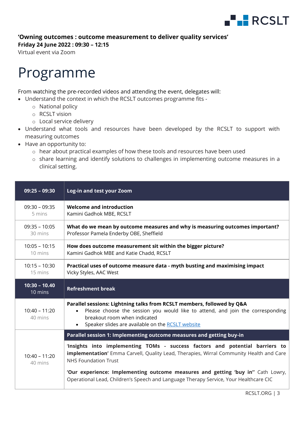

#### **Friday 24 June 2022 : 09:30 – 12:15**

Virtual event via Zoom

# <span id="page-2-0"></span>Programme

From watching the pre-recorded videos and attending the event, delegates will:

- Understand the context in which the RCSLT outcomes programme fits
	- o National policy
	- o RCSLT vision
	- o Local service delivery
- Understand what tools and resources have been developed by the RCSLT to support with measuring outcomes
- Have an opportunity to:
	- o hear about practical examples of how these tools and resources have been used
	- o share learning and identify solutions to challenges in implementing outcome measures in a clinical setting.

| $09:25 - 09:30$            | Log-in and test your Zoom                                                                                                                                                                                                                                                                                                                                                                 |
|----------------------------|-------------------------------------------------------------------------------------------------------------------------------------------------------------------------------------------------------------------------------------------------------------------------------------------------------------------------------------------------------------------------------------------|
| $09:30 - 09:35$<br>5 mins  | <b>Welcome and introduction</b><br>Kamini Gadhok MBE, RCSLT                                                                                                                                                                                                                                                                                                                               |
| $09:35 - 10:05$<br>30 mins | What do we mean by outcome measures and why is measuring outcomes important?<br>Professor Pamela Enderby OBE, Sheffield                                                                                                                                                                                                                                                                   |
| $10:05 - 10:15$<br>10 mins | How does outcome measurement sit within the bigger picture?<br>Kamini Gadhok MBE and Katie Chadd, RCSLT                                                                                                                                                                                                                                                                                   |
| $10:15 - 10:30$<br>15 mins | Practical uses of outcome measure data - myth busting and maximising impact<br>Vicky Styles, AAC West                                                                                                                                                                                                                                                                                     |
| $10:30 - 10.40$<br>10 mins | <b>Refreshment break</b>                                                                                                                                                                                                                                                                                                                                                                  |
| $10:40 - 11:20$<br>40 mins | Parallel sessions: Lightning talks from RCSLT members, followed by Q&A<br>Please choose the session you would like to attend, and join the corresponding<br>breakout room when indicated<br>• Speaker slides are available on the RCSLT website                                                                                                                                           |
|                            | Parallel session 1: Implementing outcome measures and getting buy-in                                                                                                                                                                                                                                                                                                                      |
| $10:40 - 11:20$<br>40 mins | 'Insights into implementing TOMs - success factors and potential barriers to<br><b>implementation'</b> Emma Carvell, Quality Lead, Therapies, Wirral Community Health and Care<br><b>NHS Foundation Trust</b><br>'Our experience: Implementing outcome measures and getting 'buy in" Cath Lowry,<br>Operational Lead, Children's Speech and Language Therapy Service, Your Healthcare CIC |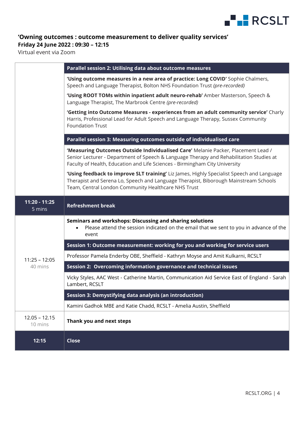

#### **Friday 24 June 2022 : 09:30 – 12:15**

Virtual event via Zoom

|                            | <b>Parallel session 2: Utilising data about outcome measures</b>                                                                                                                                                                                            |
|----------------------------|-------------------------------------------------------------------------------------------------------------------------------------------------------------------------------------------------------------------------------------------------------------|
|                            | 'Using outcome measures in a new area of practice: Long COVID' Sophie Chalmers,<br>Speech and Language Therapist, Bolton NHS Foundation Trust (pre-recorded)                                                                                                |
|                            | 'Using ROOT TOMs within inpatient adult neuro-rehab' Amber Masterson, Speech &<br>Language Therapist, The Marbrook Centre (pre-recorded)                                                                                                                    |
|                            | 'Getting into Outcome Measures - experiences from an adult community service' Charly<br>Harris, Professional Lead for Adult Speech and Language Therapy, Sussex Community<br><b>Foundation Trust</b>                                                        |
|                            | Parallel session 3: Measuring outcomes outside of individualised care                                                                                                                                                                                       |
|                            | 'Measuring Outcomes Outside Individualised Care' Melanie Packer, Placement Lead /<br>Senior Lecturer - Department of Speech & Language Therapy and Rehabilitation Studies at<br>Faculty of Health, Education and Life Sciences - Birmingham City University |
|                            | 'Using feedback to improve SLT training' Liz James, Highly Specialist Speech and Language<br>Therapist and Serena Lo, Speech and Language Therapist, Biborough Mainstream Schools<br>Team, Central London Community Healthcare NHS Trust                    |
| 11:20 - 11:25<br>5 mins    | <b>Refreshment break</b>                                                                                                                                                                                                                                    |
|                            | Seminars and workshops: Discussing and sharing solutions<br>Please attend the session indicated on the email that we sent to you in advance of the<br>event                                                                                                 |
|                            | Session 1: Outcome measurement: working for you and working for service users                                                                                                                                                                               |
| $11:25 - 12:05$            | Professor Pamela Enderby OBE, Sheffield - Kathryn Moyse and Amit Kulkarni, RCSLT                                                                                                                                                                            |
| 40 mins                    | Session 2: Overcoming information governance and technical issues                                                                                                                                                                                           |
|                            | Vicky Styles, AAC West - Catherine Martin, Communication Aid Service East of England - Sarah<br>Lambert, RCSLT                                                                                                                                              |
|                            | Session 3: Demystifying data analysis (an introduction)                                                                                                                                                                                                     |
|                            | Kamini Gadhok MBE and Katie Chadd, RCSLT - Amelia Austin, Sheffield                                                                                                                                                                                         |
| $12.05 - 12.15$<br>10 mins | Thank you and next steps                                                                                                                                                                                                                                    |
| 12:15                      | <b>Close</b>                                                                                                                                                                                                                                                |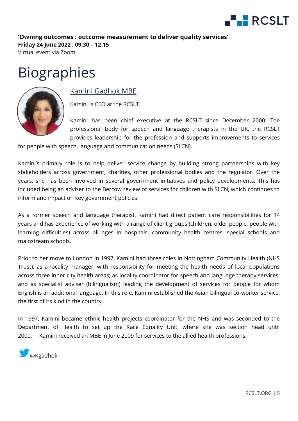

Virtual event via Zoom

# Biographies



#### Kamini Gadhok MBE

<span id="page-4-0"></span>Kamini is CEO at the RCSLT.

Kamini has been chief executive at the RCSLT since December 2000. The professional body for speech and language therapists in the UK, the RCSLT provides leadership for the profession and supports improvements to services

for people with speech, language and communication needs (SLCN).

Kamini's primary role is to help deliver service change by building strong partnerships with key stakeholders across government, charities, other professional bodies and the regulator. Over the years, she has been involved in several government initiatives and policy developments. This has included being an adviser to the Bercow review of services for children with SLCN, which continues to inform and impact on key government policies.

As a former speech and language therapist, Kamini had direct patient care responsibilities for 14 years and has experience of working with a range of client groups (children, older people, people with learning difficulties) across all ages in hospitals, community health centres, special schools and mainstream schools.

Prior to her move to London in 1997, Kamini had three roles in Nottingham Community Health (NHS Trust): as a locality manager, with responsibility for meeting the health needs of local populations across three inner city health areas; as locality coordinator for speech and language therapy services; and as specialist adviser (bilingualism) leading the development of services for people for whom English is an additional language. In this role, Kamini established the Asian bilingual co-worker service, the first of its kind in the country.

In 1997, Kamini became ethnic health projects coordinator for the NHS and was seconded to the Department of Health to set up the Race Equality Unit, where she was section head until 2000. Kamini received an MBE in June 2009 for services to the allied health professions.

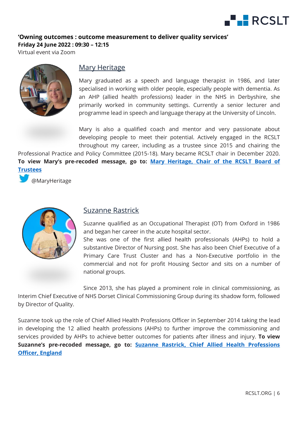

Virtual event via Zoom



#### Mary Heritage

Mary graduated as a speech and language therapist in 1986, and later specialised in working with older people, especially people with dementia. As an AHP (allied health professions) leader in the NHS in Derbyshire, she primarily worked in community settings. Currently a senior lecturer and programme lead in speech and language therapy at the University of Lincoln.

Mary is also a qualified coach and mentor and very passionate about developing people to meet their potential. Actively engaged in the RCSLT throughout my career, including as a trustee since 2015 and chairing the

Professional Practice and Policy Committee (2015-18). Mary became RCSLT chair in December 2020. **To view Mary's pre-recoded message, go to: [Mary Heritage, Chair of the RCSLT Board of](https://www.youtube.com/watch?v=MY50BqPxwho)  [Trustees](https://www.youtube.com/watch?v=MY50BqPxwho)**

[@MaryHeritage](https://twitter.com/MaryHeritage)



#### Suzanne Rastrick

Suzanne qualified as an Occupational Therapist (OT) from Oxford in 1986 and began her career in the acute hospital sector.

She was one of the first allied health professionals (AHPs) to hold a substantive Director of Nursing post. She has also been Chief Executive of a Primary Care Trust Cluster and has a Non-Executive portfolio in the commercial and not for profit Housing Sector and sits on a number of national groups.

Since 2013, she has played a prominent role in clinical commissioning, as Interim Chief Executive of NHS Dorset Clinical Commissioning Group during its shadow form, followed by Director of Quality.

Suzanne took up the role of Chief Allied Health Professions Officer in September 2014 taking the lead in developing the 12 allied health professions (AHPs) to further improve the commissioning and services provided by AHPs to achieve better outcomes for patients after illness and injury. **To view Suzanne's pre-recoded message, go to: [Suzanne Rastrick, Chief Allied Health Professions](https://www.youtube.com/watch?v=s6K8F6gK-wo)  [Officer, England](https://www.youtube.com/watch?v=s6K8F6gK-wo)**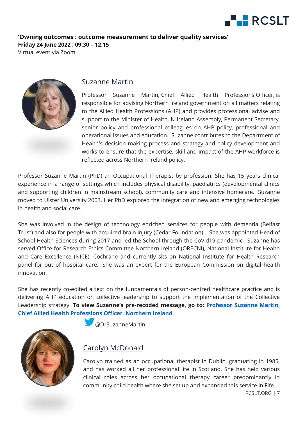

Virtual event via Zoom



#### Suzanne Martin

Professor Suzanne Martin, Chief Allied Health Professions Officer, is responsible for advising Northern Ireland government on all matters relating to the Allied Health Professions (AHP) and provides professional advise and support to the Minister of Health, N Ireland Assembly, Permanent Secretary, senior policy and professional colleagues on AHP policy, professional and operational issues and education. Suzanne contributes to the Department of Health's decision making process and strategy and policy development and works to ensure that the expertise, skill and impact of the AHP workforce is reflected across Northern Ireland policy.

Professor Suzanne Martin (PhD) an Occupational Therapist by profession. She has 15 years clinical experience in a range of settings which includes physical disability, paediatrics (developmental clinics and supporting children in mainstream school), community care and intensive homecare. Suzanne moved to Ulster University 2003. Her PhD explored the integration of new and emerging technologies in health and social care.

She was involved in the design of technology enriched services for people with dementia (Belfast Trust) and also for people with acquired brain injury (Cedar Foundation). She was appointed Head of School Health Sciences during 2017 and led the School through the CoVid19 pandemic. Suzanne has served Office for Research Ethics Committee Northern Ireland (ORECNI), National Institute for Health and Care Excellence (NICE), Cochrane and currently sits on National Institute for Health Research panel for out of hospital care. She was an expert for the European Commission on digital health innovation.

She has recently co-edited a text on the fundamentals of person-centred healthcare practice and is delivering AHP education on collective leadership to support the implementation of the Collective Leadership strategy. **To view Suzanne's pre-recoded message, go to: [Professor Suzanne Martin,](https://www.youtube.com/watch?v=MyPPBg69Ras)  [Chief Allied Health Professions Officer, Northern Ireland](https://www.youtube.com/watch?v=MyPPBg69Ras)**



@DrSuzanneMartin

#### Carolyn McDonald

Carolyn trained as an occupational therapist in Dublin, graduating in 1985, and has worked all her professional life in Scotland. She has held various clinical roles across her occupational therapy career predominantly in community child health where she set up and expanded this service in Fife.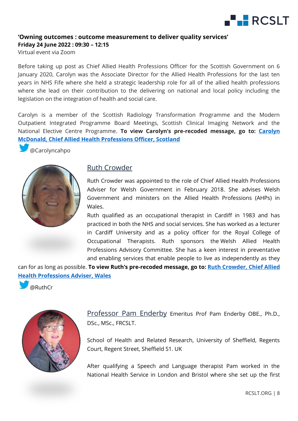

Virtual event via Zoom

Before taking up post as Chief Allied Health Professions Officer for the Scottish Government on 6 January 2020, Carolyn was the Associate Director for the Allied Health Professions for the last ten years in NHS Fife where she held a strategic leadership role for all of the allied health professions where she lead on their contribution to the delivering on national and local policy including the legislation on the integration of health and social care.

Carolyn is a member of the Scottish Radiology Transformation Programme and the Modern Outpatient Integrated Programme Board Meetings, Scottish Clinical Imaging Network and the National Elective Centre Programme. **To view Carolyn's pre-recoded message, go to: [Carolyn](https://www.youtube.com/watch?v=sab3VLkO1tU&feature=youtu.be)  McDonald, Chief Allied [Health Professions Officer, Scotland](https://www.youtube.com/watch?v=sab3VLkO1tU&feature=youtu.be)**

@Carolyncahpo



#### Ruth Crowder

Ruth Crowder was appointed to the role of Chief Allied Health Professions Adviser for Welsh Government in February 2018. She advises Welsh Government and ministers on the Allied Health Professions (AHPs) in Wales.

Ruth qualified as an occupational therapist in Cardiff in 1983 and has practiced in both the NHS and social services. She has worked as a lecturer in Cardiff University and as a policy officer for the Royal College of Occupational Therapists. Ruth sponsors the Welsh Allied Health Professions Advisory Committee. She has a keen interest in preventative and enabling services that enable people to live as independently as they

can for as long as possible. **To view Ruth's pre-recoded message, go to: [Ruth Crowder, Chief Allied](https://www.youtube.com/watch?v=IYdDnqKnUIU&feature=youtu.be)  [Health Professions Adviser, Wales](https://www.youtube.com/watch?v=IYdDnqKnUIU&feature=youtu.be)**

@RuthCr



Professor Pam Enderby Emeritus Prof Pam Enderby OBE., Ph.D., DSc., MSc., FRCSLT.

School of Health and Related Research, University of Sheffield, Regents Court, Regent Street, Sheffield S1. UK

After qualifying a Speech and Language therapist Pam worked in the National Health Service in London and Bristol where she set up the first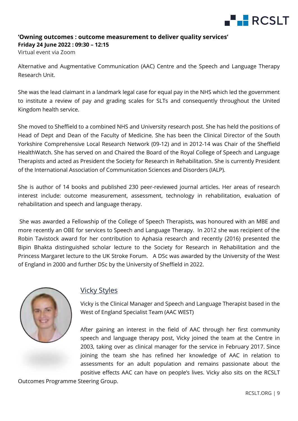

Virtual event via Zoom

Alternative and Augmentative Communication (AAC) Centre and the Speech and Language Therapy Research Unit.

She was the lead claimant in a landmark legal case for equal pay in the NHS which led the government to institute a review of pay and grading scales for SLTs and consequently throughout the United Kingdom health service.

She moved to Sheffield to a combined NHS and University research post. She has held the positions of Head of Dept and Dean of the Faculty of Medicine. She has been the Clinical Director of the South Yorkshire Comprehensive Local Research Network (09-12) and in 2012-14 was Chair of the Sheffield HealthWatch. She has served on and Chaired the Board of the Royal College of Speech and Language Therapists and acted as President the Society for Research in Rehabilitation. She is currently President of the International Association of Communication Sciences and Disorders (IALP).

She is author of 14 books and published 230 peer-reviewed journal articles. Her areas of research interest include: outcome measurement, assessment, technology in rehabilitation, evaluation of rehabilitation and speech and language therapy.

She was awarded a Fellowship of the College of Speech Therapists, was honoured with an MBE and more recently an OBE for services to Speech and Language Therapy. In 2012 she was recipient of the Robin Tavistock award for her contribution to Aphasia research and recently (2016) presented the Bipin Bhakta distinguished scholar lecture to the Society for Research in Rehabilitation and the Princess Margaret lecture to the UK Stroke Forum. A DSc was awarded by the University of the West of England in 2000 and further DSc by the University of Sheffield in 2022.



#### Vicky Styles

Vicky is the Clinical Manager and Speech and Language Therapist based in the West of England Specialist Team (AAC WEST)

After gaining an interest in the field of AAC through her first community speech and language therapy post, Vicky joined the team at the Centre in 2003, taking over as clinical manager for the service in February 2017. Since joining the team she has refined her knowledge of AAC in relation to assessments for an adult population and remains passionate about the positive effects AAC can have on people's lives. Vicky also sits on the RCSLT

Outcomes Programme Steering Group.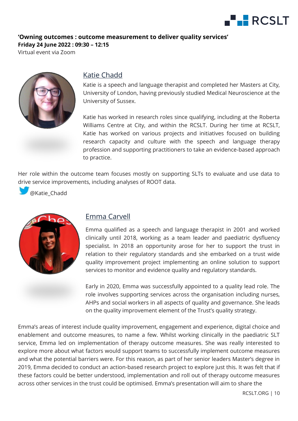

Virtual event via Zoom



#### Katie Chadd

Katie is a speech and language therapist and completed her Masters at City, University of London, having previously studied Medical Neuroscience at the University of Sussex.

Katie has worked in research roles since qualifying, including at the Roberta Williams Centre at City, and within the RCSLT. During her time at RCSLT, Katie has worked on various projects and initiatives focused on building research capacity and culture with the speech and language therapy profession and supporting practitioners to take an evidence-based approach to practice.

Her role within the outcome team focuses mostly on supporting SLTs to evaluate and use data to drive service improvements, including analyses of ROOT data.

@Katie\_Chadd



#### Emma Carvell

Emma qualified as a speech and language therapist in 2001 and worked clinically until 2018, working as a team leader and paediatric dysfluency specialist. In 2018 an opportunity arose for her to support the trust in relation to their regulatory standards and she embarked on a trust wide quality improvement project implementing an online solution to support services to monitor and evidence quality and regulatory standards.

Early in 2020, Emma was successfully appointed to a quality lead role. The role involves supporting services across the organisation including nurses, AHPs and social workers in all aspects of quality and governance. She leads on the quality improvement element of the Trust's quality strategy.

Emma's areas of interest include quality improvement, engagement and experience, digital choice and enablement and outcome measures, to name a few. Whilst working clinically in the paediatric SLT service, Emma led on implementation of therapy outcome measures. She was really interested to explore more about what factors would support teams to successfully implement outcome measures and what the potential barriers were. For this reason, as part of her senior leaders Master's degree in 2019, Emma decided to conduct an action-based research project to explore just this. It was felt that if these factors could be better understood, implementation and roll out of therapy outcome measures across other services in the trust could be optimised. Emma's presentation will aim to share the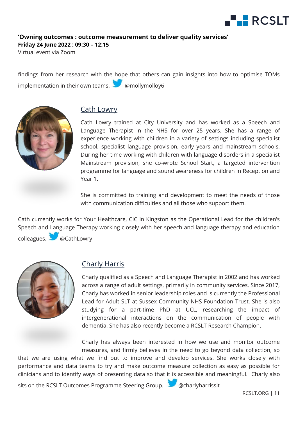

**Friday 24 June 2022 : 09:30 – 12:15**

Virtual event via Zoom

findings from her research with the hope that others can gain insights into how to optimise TOMs implementation in their own teams.  $\sum_{n=1}^{\infty}$  @mollymolloy6



#### Cath Lowry

Cath Lowry trained at City University and has worked as a Speech and Language Therapist in the NHS for over 25 years. She has a range of experience working with children in a variety of settings including specialist school, specialist language provision, early years and mainstream schools. During her time working with children with language disorders in a specialist Mainstream provision, she co-wrote School Start, a targeted intervention programme for language and sound awareness for children in Reception and Year 1.

She is committed to training and development to meet the needs of those with communication difficulties and all those who support them.

Cath currently works for Your Healthcare, CIC in Kingston as the Operational Lead for the children's Speech and Language Therapy working closely with her speech and language therapy and education colleagues. @CathLowry



#### Charly Harris

Charly qualified as a Speech and Language Therapist in 2002 and has worked across a range of adult settings, primarily in community services. Since 2017, Charly has worked in senior leadership roles and is currently the Professional Lead for Adult SLT at Sussex Community NHS Foundation Trust. She is also studying for a part-time PhD at UCL, researching the impact of intergenerational interactions on the communication of people with dementia. She has also recently become a RCSLT Research Champion.

Charly has always been interested in how we use and monitor outcome measures, and firmly believes in the need to go beyond data collection, so

that we are using what we find out to improve and develop services. She works closely with performance and data teams to try and make outcome measure collection as easy as possible for clinicians and to identify ways of presenting data so that it is accessible and meaningful. Charly also

sits on the RCSLT Outcomes Programme Steering Group. @charlyharrisslt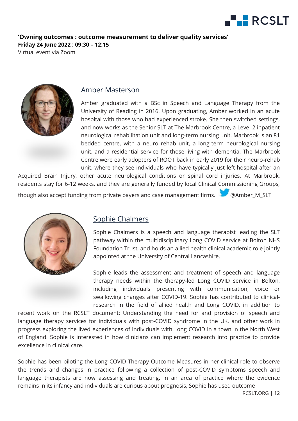

Virtual event via Zoom



#### Amber Masterson

Amber graduated with a BSc in Speech and Language Therapy from the University of Reading in 2016. Upon graduating, Amber worked in an acute hospital with those who had experienced stroke. She then switched settings, and now works as the Senior SLT at The Marbrook Centre, a Level 2 inpatient neurological rehabilitation unit and long-term nursing unit. Marbrook is an 81 bedded centre, with a neuro rehab unit, a long-term neurological nursing unit, and a residential service for those living with dementia. The Marbrook Centre were early adopters of ROOT back in early 2019 for their neuro-rehab unit, where they see individuals who have typically just left hospital after an

Acquired Brain Injury, other acute neurological conditions or spinal cord injuries. At Marbrook, residents stay for 6-12 weeks, and they are generally funded by local Clinical Commissioning Groups,

though also accept funding from private payers and case management firms. W @Amber\_M\_SLT



#### Sophie Chalmers

Sophie Chalmers is a speech and language therapist leading the SLT pathway within the multidisciplinary Long COVID service at Bolton NHS Foundation Trust, and holds an allied health clinical academic role jointly appointed at the University of Central Lancashire.

Sophie leads the assessment and treatment of speech and language therapy needs within the therapy-led Long COVID service in Bolton, including individuals presenting with communication, voice or swallowing changes after COVID-19. Sophie has contributed to clinicalresearch in the field of allied health and Long COVID, in addition to

recent work on the RCSLT document: Understanding the need for and provision of speech and language therapy services for individuals with post-COVID syndrome in the UK, and other work in progress exploring the lived experiences of individuals with Long COVID in a town in the North West of England. Sophie is interested in how clinicians can implement research into practice to provide excellence in clinical care.

Sophie has been piloting the Long COVID Therapy Outcome Measures in her clinical role to observe the trends and changes in practice following a collection of post-COVID symptoms speech and language therapists are now assessing and treating. In an area of practice where the evidence remains in its infancy and individuals are curious about prognosis, Sophie has used outcome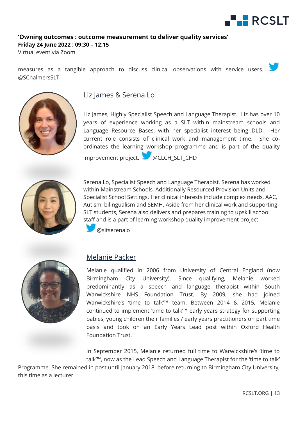

Virtual event via Zoom

measures as a tangible approach to discuss clinical observations with service users. @SChalmersSLT



#### Liz James & Serena Lo

Liz James, Highly Specialist Speech and Language Therapist. Liz has over 10 years of experience working as a SLT within mainstream schools and Language Resource Bases, with her specialist interest being DLD. Her current role consists of clinical work and management time. She coordinates the learning workshop programme and is part of the quality improvement project. @CLCH\_SLT\_CHD



Serena Lo, Specialist Speech and Language Therapist. Serena has worked within Mainstream Schools, Additionally Resourced Provision Units and Specialist School Settings. Her clinical interests include complex needs, AAC, Autism, bilingualism and SEMH. Aside from her clinical work and supporting SLT students, Serena also delivers and prepares training to upskill school staff and is a part of learning workshop quality improvement project.

@sltserenalo



#### Melanie Packer

Melanie qualified in 2006 from University of Central England (now Birmingham City University). Since qualifying, Melanie worked predominantly as a speech and language therapist within South Warwickshire NHS Foundation Trust. By 2009, she had joined Warwickshire's 'time to talk'™ team. Between 2014 & 2015, Melanie continued to implement 'time to talk'™ early years strategy for supporting babies, young children their families / early years practitioners on part time basis and took on an Early Years Lead post within Oxford Health Foundation Trust.

In September 2015, Melanie returned full time to Warwickshire's 'time to talk'™, now as the Lead Speech and Language Therapist for the 'time to talk'

Programme. She remained in post until January 2018, before returning to Birmingham City University, this time as a lecturer.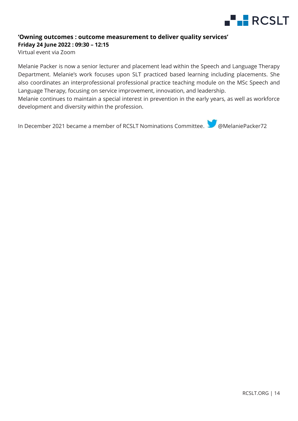

Virtual event via Zoom

Melanie Packer is now a senior lecturer and placement lead within the Speech and Language Therapy Department. Melanie's work focuses upon SLT practiced based learning including placements. She also coordinates an interprofessional professional practice teaching module on the MSc Speech and Language Therapy, focusing on service improvement, innovation, and leadership.

Melanie continues to maintain a special interest in prevention in the early years, as well as workforce development and diversity within the profession.

In December 2021 became a member of RCSLT Nominations Committee. We @MelaniePacker72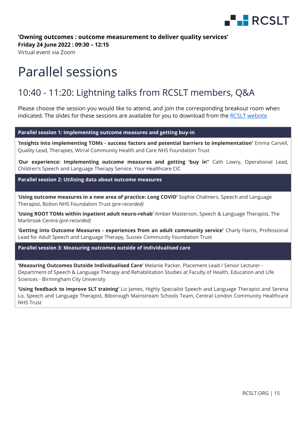

**Friday 24 June 2022 : 09:30 – 12:15**

Virtual event via Zoom

# <span id="page-14-0"></span>Parallel sessions

#### 10:40 - 11:20: Lightning talks from RCSLT members, Q&A

Please choose the session you would like to attend, and join the corresponding breakout room when indicated. The slides for these sessions are available for you to download from the [RCSLT website](https://www.rcslt.org/events/owning-outcomes-outcome-measurement-to-deliver-quality-services/)

**Parallel session 1: Implementing outcome measures and getting buy-in**

**'Insights into implementing TOMs - success factors and potential barriers to implementation'** Emma Carvell, Quality Lead, Therapies, Wirral Community Health and Care NHS Foundation Trust

'**Our experience: Implementing outcome measures and getting 'buy in''** Cath Lowry, Operational Lead, Children's Speech and Language Therapy Service, Your Healthcare CIC

**Parallel session 2: Utilising data about outcome measures**

'**Using outcome measures in a new area of practice: Long COVID'** Sophie Chalmers, Speech and Language Therapist, Bolton NHS Foundation Trust *(pre-recorded)*

**'Using ROOT TOMs within inpatient adult neuro-rehab'** Amber Masterson, Speech & Language Therapist, The Marbrook Centre *(pre-recorded)*

**'Getting into Outcome Measures - experiences from an adult community service'** Charly Harris, Professional Lead for Adult Speech and Language Therapy, Sussex Community Foundation Trust

**Parallel session 3: Measuring outcomes outside of individualised care**

**'Measuring Outcomes Outside Individualised Care'** Melanie Packer, Placement Lead / Senior Lecturer - Department of Speech & Language Therapy and Rehabilitation Studies at Faculty of Health, Education and Life Sciences - Birmingham City University

<span id="page-14-1"></span>**'Using feedback to improve SLT training'** Liz James, Highly Specialist Speech and Language Therapist and Serena Lo, Speech and Language Therapist, Biborough Mainstream Schools Team, Central London Community Healthcare NHS Trust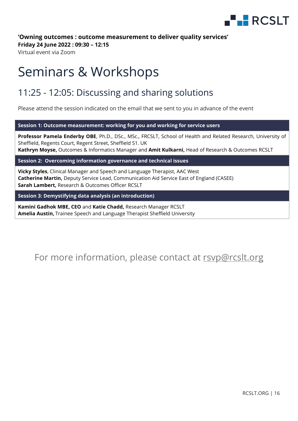

**Friday 24 June 2022 : 09:30 – 12:15**

Virtual event via Zoom

## Seminars & Workshops

#### 11:25 - 12:05: Discussing and sharing solutions

Please attend the session indicated on the email that we sent to you in advance of the event

**Session 1: Outcome measurement: working for you and working for service users**

**Professor Pamela Enderby OBE**, Ph.D., DSc., MSc., FRCSLT, School of Health and Related Research, University of Sheffield, Regents Court, Regent Street, Sheffield S1. UK **Kathryn Moyse,** Outcomes & Informatics Manager and **Amit Kulkarni,** Head of Research & Outcomes RCSLT

**Session 2: Overcoming information governance and technical issues** 

**Vicky Styles**, Clinical Manager and Speech and Language Therapist, AAC West **Catherine Martin,** Deputy Service Lead, Communication Aid Service East of England (CASEE) **Sarah Lambert,** Research & Outcomes Officer RCSLT

**Session 3: Demystifying data analysis (an introduction)**

**Kamini Gadhok MBE, CEO** and **Katie Chadd,** Research Manager RCSLT **Amelia Austin,** Trainee Speech and Language Therapist Sheffield University

#### <span id="page-15-0"></span>For more information, please contact at [rsvp@rcslt.org](mailto:rsvp@rcslt.org)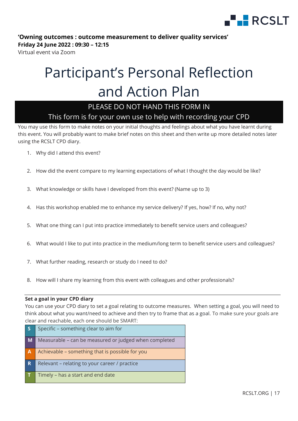

Virtual event via Zoom

# Participant's Personal Reflection and Action Plan

#### PLEASE DO NOT HAND THIS FORM IN

#### This form is for your own use to help with recording your CPD

You may use this form to make notes on your initial thoughts and feelings about what you have learnt during this event. You will probably want to make brief notes on this sheet and then write up more detailed notes later using the RCSLT CPD diary.

- 1. Why did I attend this event?
- 2. How did the event compare to my learning expectations of what I thought the day would be like?
- 3. What knowledge or skills have I developed from this event? (Name up to 3)
- 4. Has this workshop enabled me to enhance my service delivery? If yes, how? If no, why not?
- 5. What one thing can I put into practice immediately to benefit service users and colleagues?
- 6. What would I like to put into practice in the medium/long term to benefit service users and colleagues?
- 7. What further reading, research or study do I need to do?
- 8. How will I share my learning from this event with colleagues and other professionals?

#### **Set a goal in your CPD diary**

You can use your CPD diary to set a goal relating to outcome measures.When setting a goal, you will need to think about what you want/need to achieve and then try to frame that as a goal. To make sure your goals are clear and reachable, each one should be SMART:

| $\overline{\mathsf{s}}$ | Specific - something clear to aim for                 |
|-------------------------|-------------------------------------------------------|
| $\blacksquare$          | Measurable - can be measured or judged when completed |
| $\overline{A}$          | Achievable - something that is possible for you       |
| R                       | Relevant - relating to your career / practice         |
| ΙT                      | Timely - has a start and end date                     |